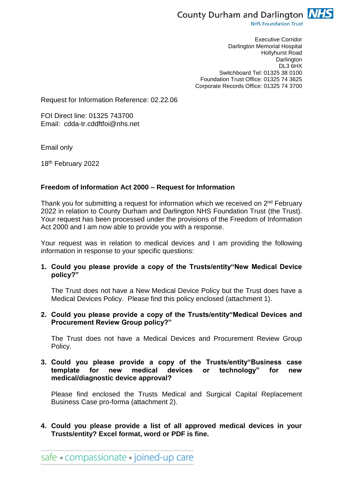

**NHS Foundation Trust** 

Executive Corridor Darlington Memorial Hospital Hollyhurst Road **Darlington** DL3 6HX Switchboard Tel: 01325 38 0100 Foundation Trust Office: 01325 74 3625 Corporate Records Office: 01325 74 3700

Request for Information Reference: 02.22.06

FOI Direct line: 01325 743700 Email: cdda-tr.cddftfoi@nhs.net

Email only

18th February 2022

#### **Freedom of Information Act 2000 – Request for Information**

Thank you for submitting a request for information which we received on 2<sup>nd</sup> February 2022 in relation to County Durham and Darlington NHS Foundation Trust (the Trust). Your request has been processed under the provisions of the Freedom of Information Act 2000 and I am now able to provide you with a response.

Your request was in relation to medical devices and I am providing the following information in response to your specific questions:

**1. Could you please provide a copy of the Trusts/entity"New Medical Device policy?"**

The Trust does not have a New Medical Device Policy but the Trust does have a Medical Devices Policy. Please find this policy enclosed (attachment 1).

**2. Could you please provide a copy of the Trusts/entity"Medical Devices and Procurement Review Group policy?"**

The Trust does not have a Medical Devices and Procurement Review Group Policy.

**3. Could you please provide a copy of the Trusts/entity"Business case**  for new medical devices or technology" for new **medical/diagnostic device approval?**

Please find enclosed the Trusts Medical and Surgical Capital Replacement Business Case pro-forma (attachment 2).

**4. Could you please provide a list of all approved medical devices in your Trusts/entity? Excel format, word or PDF is fine.**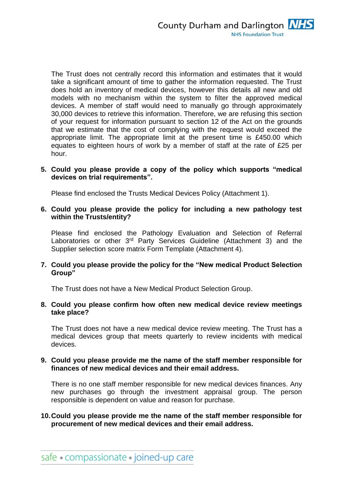The Trust does not centrally record this information and estimates that it would take a significant amount of time to gather the information requested. The Trust does hold an inventory of medical devices, however this details all new and old models with no mechanism within the system to filter the approved medical devices. A member of staff would need to manually go through approximately 30,000 devices to retrieve this information. Therefore, we are refusing this section of your request for information pursuant to section 12 of the Act on the grounds that we estimate that the cost of complying with the request would exceed the appropriate limit. The appropriate limit at the present time is £450.00 which equates to eighteen hours of work by a member of staff at the rate of £25 per hour.

### **5. Could you please provide a copy of the policy which supports "medical devices on trial requirements".**

Please find enclosed the Trusts Medical Devices Policy (Attachment 1).

**6. Could you please provide the policy for including a new pathology test within the Trusts/entity?**

Please find enclosed the Pathology Evaluation and Selection of Referral Laboratories or other 3<sup>rd</sup> Party Services Guideline (Attachment 3) and the Supplier selection score matrix Form Template (Attachment 4).

### **7. Could you please provide the policy for the "New medical Product Selection Group"**

The Trust does not have a New Medical Product Selection Group.

### **8. Could you please confirm how often new medical device review meetings take place?**

The Trust does not have a new medical device review meeting. The Trust has a medical devices group that meets quarterly to review incidents with medical devices.

### **9. Could you please provide me the name of the staff member responsible for finances of new medical devices and their email address.**

There is no one staff member responsible for new medical devices finances. Any new purchases go through the investment appraisal group. The person responsible is dependent on value and reason for purchase.

# **10.Could you please provide me the name of the staff member responsible for procurement of new medical devices and their email address.**